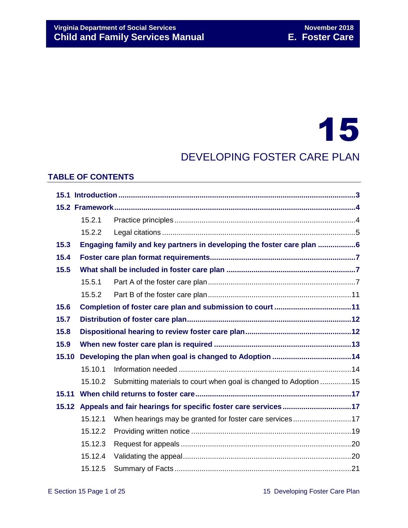# 15

# DEVELOPING FOSTER CARE PLAN

#### **TABLE OF CONTENTS**

|       | 15.2.1                                                                |                                                                   |  |  |
|-------|-----------------------------------------------------------------------|-------------------------------------------------------------------|--|--|
|       | 15.2.2                                                                |                                                                   |  |  |
| 15.3  | Engaging family and key partners in developing the foster care plan 6 |                                                                   |  |  |
| 15.4  |                                                                       |                                                                   |  |  |
| 15.5  |                                                                       |                                                                   |  |  |
|       | 15.5.1                                                                |                                                                   |  |  |
|       | 15.5.2                                                                |                                                                   |  |  |
| 15.6  |                                                                       |                                                                   |  |  |
| 15.7  |                                                                       |                                                                   |  |  |
| 15.8  |                                                                       |                                                                   |  |  |
| 15.9  |                                                                       |                                                                   |  |  |
| 15.10 |                                                                       |                                                                   |  |  |
|       | 15.10.1                                                               |                                                                   |  |  |
|       | 15.10.2                                                               | Submitting materials to court when goal is changed to Adoption 15 |  |  |
| 15.11 |                                                                       |                                                                   |  |  |
| 15.12 |                                                                       |                                                                   |  |  |
|       | 15.12.1                                                               | When hearings may be granted for foster care services17           |  |  |
|       | 15.12.2                                                               |                                                                   |  |  |
|       | 15.12.3                                                               |                                                                   |  |  |
|       | 15.12.4                                                               |                                                                   |  |  |
|       | 15.12.5                                                               |                                                                   |  |  |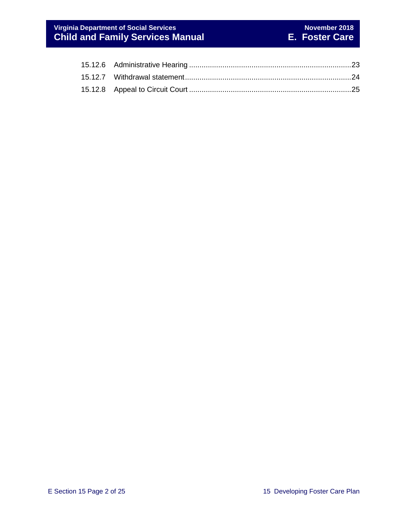# **Virginia Department of Social Services November 2018 Child and Family Services Manual E. Foster Care**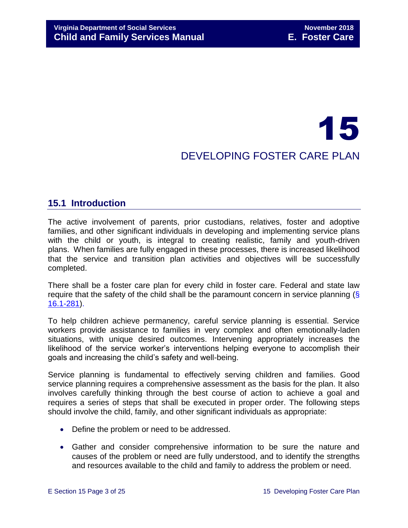# 15 DEVELOPING FOSTER CARE PLAN

# <span id="page-2-0"></span>**15.1 Introduction**

The active involvement of parents, prior custodians, relatives, foster and adoptive families, and other significant individuals in developing and implementing service plans with the child or youth, is integral to creating realistic, family and youth-driven plans. When families are fully engaged in these processes, there is increased likelihood that the service and transition plan activities and objectives will be successfully completed.

There shall be a foster care plan for every child in foster care. Federal and state law require that the safety of the child shall be the paramount concern in service planning (§ [16.1-281\)](http://law.lis.virginia.gov/vacode/16.1-281/).

To help children achieve permanency, careful service planning is essential. Service workers provide assistance to families in very complex and often emotionally-laden situations, with unique desired outcomes. Intervening appropriately increases the likelihood of the service worker's interventions helping everyone to accomplish their goals and increasing the child's safety and well-being.

Service planning is fundamental to effectively serving children and families. Good service planning requires a comprehensive assessment as the basis for the plan. It also involves carefully thinking through the best course of action to achieve a goal and requires a series of steps that shall be executed in proper order. The following steps should involve the child, family, and other significant individuals as appropriate:

- Define the problem or need to be addressed.
- Gather and consider comprehensive information to be sure the nature and causes of the problem or need are fully understood, and to identify the strengths and resources available to the child and family to address the problem or need.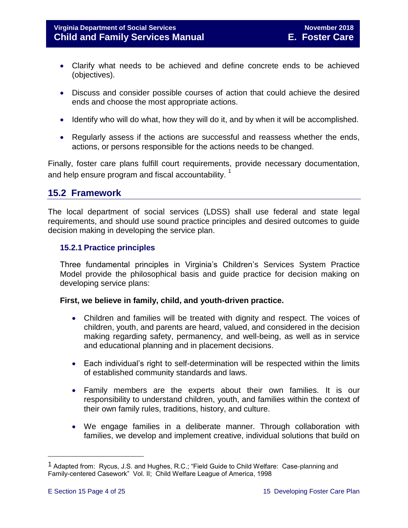- Clarify what needs to be achieved and define concrete ends to be achieved (objectives).
- Discuss and consider possible courses of action that could achieve the desired ends and choose the most appropriate actions.
- Identify who will do what, how they will do it, and by when it will be accomplished.
- Regularly assess if the actions are successful and reassess whether the ends, actions, or persons responsible for the actions needs to be changed.

Finally, foster care plans fulfill court requirements, provide necessary documentation, and help ensure program and fiscal accountability.<sup>1</sup>

# <span id="page-3-0"></span>**15.2 Framework**

The local department of social services (LDSS) shall use federal and state legal requirements, and should use sound practice principles and desired outcomes to guide decision making in developing the service plan.

# <span id="page-3-1"></span>**15.2.1 Practice principles**

Three fundamental principles in Virginia's Children's Services System Practice Model provide the philosophical basis and guide practice for decision making on developing service plans:

#### **First, we believe in family, child, and youth-driven practice.**

- Children and families will be treated with dignity and respect. The voices of children, youth, and parents are heard, valued, and considered in the decision making regarding safety, permanency, and well-being, as well as in service and educational planning and in placement decisions.
- Each individual's right to self-determination will be respected within the limits of established community standards and laws.
- Family members are the experts about their own families. It is our responsibility to understand children, youth, and families within the context of their own family rules, traditions, history, and culture.
- We engage families in a deliberate manner. Through collaboration with families, we develop and implement creative, individual solutions that build on

i<br>L

<sup>1</sup> Adapted from: Rycus, J.S. and Hughes, R.C.; "Field Guide to Child Welfare: Case-planning and Family-centered Casework" Vol. II; Child Welfare League of America, 1998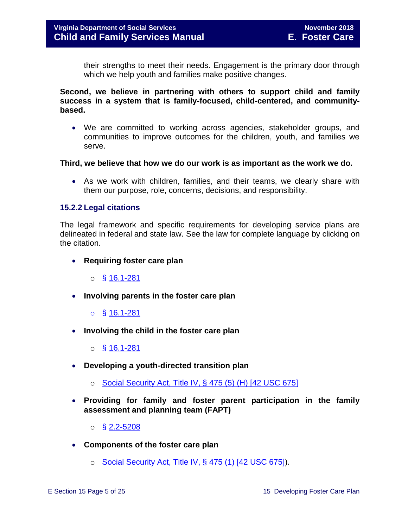their strengths to meet their needs. Engagement is the primary door through which we help youth and families make positive changes.

**Second, we believe in partnering with others to support child and family success in a system that is family-focused, child-centered, and communitybased.** 

 We are committed to working across agencies, stakeholder groups, and communities to improve outcomes for the children, youth, and families we serve.

#### **Third, we believe that how we do our work is as important as the work we do.**

 As we work with children, families, and their teams, we clearly share with them our purpose, role, concerns, decisions, and responsibility.

#### <span id="page-4-0"></span>**15.2.2 Legal citations**

The legal framework and specific requirements for developing service plans are delineated in federal and state law. See the law for complete language by clicking on the citation.

**Requiring foster care plan** 

 $\circ$  § [16.1-281](http://law.lis.virginia.gov/vacode/16.1-281/)

- **Involving parents in the foster care plan** 
	- o § [16.1-281](http://law.lis.virginia.gov/vacode/16.1-281/)
- **Involving the child in the foster care plan** 
	- o § [16.1-281](http://law.lis.virginia.gov/vacode/16.1-281/)
- **Developing a youth-directed transition plan** 
	- o [Social Security Act, Title IV, § 475 \(5\) \(H\) \[42 USC 675\]](http://www.ssa.gov/OP_Home/ssact/title04/0475.htm)
- **Providing for family and foster parent participation in the family assessment and planning team (FAPT)** 
	- $\circ$  § [2.2-5208](http://law.lis.virginia.gov/vacode/2.2-5208/)
- **Components of the foster care plan** 
	- o [Social Security Act, Title IV, § 475 \(1\) \[42 USC 675\]\)](http://www.ssa.gov/OP_Home/ssact/title04/0475.htm).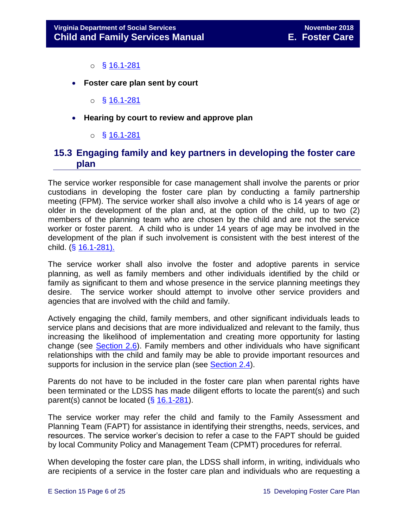- $\circ$  § [16.1-281](http://law.lis.virginia.gov/vacode/16.1-281/)
- **Foster care plan sent by court** 
	- $\circ$  § [16.1-281](http://law.lis.virginia.gov/vacode/16.1-281/)
- **Hearing by court to review and approve plan** 
	- o § [16.1-281](http://law.lis.virginia.gov/vacode/16.1-281/)

# <span id="page-5-0"></span>**15.3 Engaging family and key partners in developing the foster care plan**

The service worker responsible for case management shall involve the parents or prior custodians in developing the foster care plan by conducting a family partnership meeting (FPM). The service worker shall also involve a child who is 14 years of age or older in the development of the plan and, at the option of the child, up to two (2) members of the planning team who are chosen by the child and are not the service worker or foster parent. A child who is under 14 years of age may be involved in the development of the plan if such involvement is consistent with the best interest of the child. (§ [16.1-281\).](http://law.lis.virginia.gov/vacode/16.1-281/)

The service worker shall also involve the foster and adoptive parents in service planning, as well as family members and other individuals identified by the child or family as significant to them and whose presence in the service planning meetings they desire. The service worker should attempt to involve other service providers and agencies that are involved with the child and family.

Actively engaging the child, family members, and other significant individuals leads to service plans and decisions that are more individualized and relevant to the family, thus increasing the likelihood of implementation and creating more opportunity for lasting change (see [Section 2.6\)](file://///Vaultcelerra.co.dss.state.va.us/Workgroup/Family_Services/DFS%20Child%20and%20Family%20Services%20Manual/E.%20Foster%20Care/Foster%20Care%20June%202017/section_2_engaging_the_child_family_and_significant_adults.draft.docx). Family members and other individuals who have significant relationships with the child and family may be able to provide important resources and supports for inclusion in the service plan (see [Section 2.4\)](file://///Vaultcelerra.co.dss.state.va.us/Workgroup/Family_Services/DFS%20Child%20and%20Family%20Services%20Manual/E.%20Foster%20Care/Foster%20Care%20June%202017/section_2_engaging_the_child_family_and_significant_adults.draft.docx).

Parents do not have to be included in the foster care plan when parental rights have been terminated or the LDSS has made diligent efforts to locate the parent(s) and such parent(s) cannot be located  $(\S 16.1-281)$  $(\S 16.1-281)$ .

The service worker may refer the child and family to the Family Assessment and Planning Team (FAPT) for assistance in identifying their strengths, needs, services, and resources. The service worker's decision to refer a case to the FAPT should be guided by local Community Policy and Management Team (CPMT) procedures for referral.

When developing the foster care plan, the LDSS shall inform, in writing, individuals who are recipients of a service in the foster care plan and individuals who are requesting a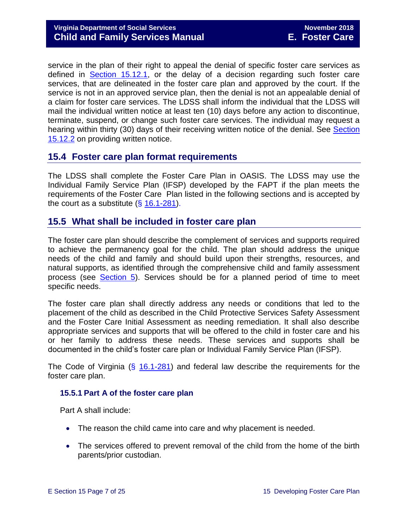service in the plan of their right to appeal the denial of specific foster care services as defined in [Section 15.12.1,](#page-16-3) or the delay of a decision regarding such foster care services, that are delineated in the foster care plan and approved by the court. If the service is not in an approved service plan, then the denial is not an appealable denial of a claim for foster care services. The LDSS shall inform the individual that the LDSS will mail the individual written notice at least ten (10) days before any action to discontinue, terminate, suspend, or change such foster care services. The individual may request a hearing within thirty (30) days of their receiving written notice of the denial. See [Section](#page-18-0)  [15.12.2](#page-18-0) on providing written notice.

# <span id="page-6-0"></span>**15.4 Foster care plan format requirements**

The LDSS shall complete the Foster Care Plan in OASIS. The LDSS may use the Individual Family Service Plan (IFSP) developed by the FAPT if the plan meets the requirements of the Foster Care Plan listed in the following sections and is accepted by the court as a substitute  $(\S 16.1-281)$  $(\S 16.1-281)$ .

# <span id="page-6-1"></span>**15.5 What shall be included in foster care plan**

The foster care plan should describe the complement of services and supports required to achieve the permanency goal for the child. The plan should address the unique needs of the child and family and should build upon their strengths, resources, and natural supports, as identified through the comprehensive child and family assessment process (see [Section 5\)](file://///Vaultcelerra.co.dss.state.va.us/Workgroup/Family_Services/DFS%20Child%20and%20Family%20Services%20Manual/E.%20Foster%20Care/Foster%20Care%20June%202017/section_5_conducting_child_and_family_assessment.docx). Services should be for a planned period of time to meet specific needs.

The foster care plan shall directly address any needs or conditions that led to the placement of the child as described in the Child Protective Services Safety Assessment and the Foster Care Initial Assessment as needing remediation. It shall also describe appropriate services and supports that will be offered to the child in foster care and his or her family to address these needs. These services and supports shall be documented in the child's foster care plan or Individual Family Service Plan (IFSP).

The Code of Virginia (§ [16.1-281\)](http://law.lis.virginia.gov/vacode/16.1-281/) and federal law describe the requirements for the foster care plan.

#### <span id="page-6-2"></span>**15.5.1 Part A of the foster care plan**

Part A shall include:

- The reason the child came into care and why placement is needed.
- The services offered to prevent removal of the child from the home of the birth parents/prior custodian.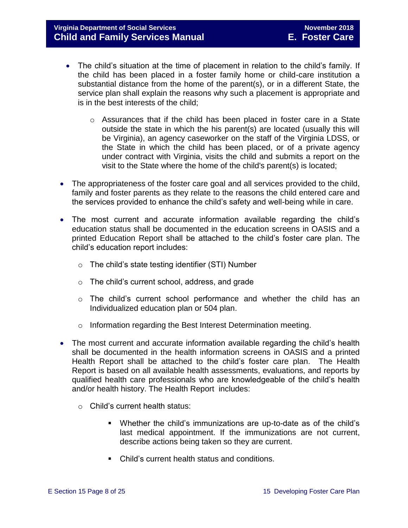# **Virginia Department of Social Services November 2018 Child and Family Services Manual E. Foster Care**

- The child's situation at the time of placement in relation to the child's family. If the child has been placed in a foster family home or child-care institution a substantial distance from the home of the parent(s), or in a different State, the service plan shall explain the reasons why such a placement is appropriate and is in the best interests of the child;
	- $\circ$  Assurances that if the child has been placed in foster care in a State outside the state in which the his parent(s) are located (usually this will be Virginia), an agency caseworker on the staff of the Virginia LDSS, or the State in which the child has been placed, or of a private agency under contract with Virginia, visits the child and submits a report on the visit to the State where the home of the child's parent(s) is located;
- The appropriateness of the foster care goal and all services provided to the child, family and foster parents as they relate to the reasons the child entered care and the services provided to enhance the child's safety and well-being while in care.
- The most current and accurate information available regarding the child's education status shall be documented in the education screens in OASIS and a printed Education Report shall be attached to the child's foster care plan. The child's education report includes:
	- o The child's state testing identifier (STI) Number
	- o The child's current school, address, and grade
	- o The child's current school performance and whether the child has an Individualized education plan or 504 plan.
	- o Information regarding the Best Interest Determination meeting.
- The most current and accurate information available regarding the child's health shall be documented in the health information screens in OASIS and a printed Health Report shall be attached to the child's foster care plan. The Health Report is based on all available health assessments, evaluations, and reports by qualified health care professionals who are knowledgeable of the child's health and/or health history. The Health Report includes:
	- o Child's current health status:
		- Whether the child's immunizations are up-to-date as of the child's last medical appointment. If the immunizations are not current, describe actions being taken so they are current.
		- Child's current health status and conditions.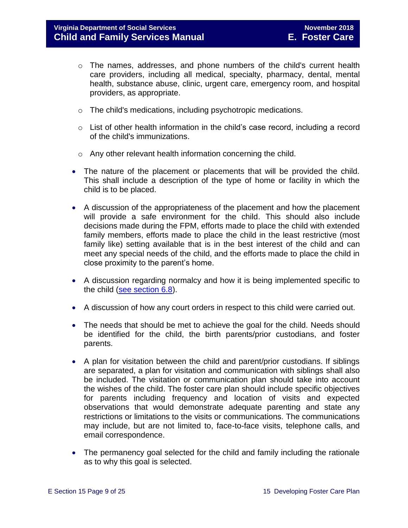- $\circ$  The names, addresses, and phone numbers of the child's current health care providers, including all medical, specialty, pharmacy, dental, mental health, substance abuse, clinic, urgent care, emergency room, and hospital providers, as appropriate.
- o The child's medications, including psychotropic medications.
- $\circ$  List of other health information in the child's case record, including a record of the child's immunizations.
- o Any other relevant health information concerning the child.
- The nature of the placement or placements that will be provided the child. This shall include a description of the type of home or facility in which the child is to be placed.
- A discussion of the appropriateness of the placement and how the placement will provide a safe environment for the child. This should also include decisions made during the FPM, efforts made to place the child with extended family members, efforts made to place the child in the least restrictive (most family like) setting available that is in the best interest of the child and can meet any special needs of the child, and the efforts made to place the child in close proximity to the parent's home.
- A discussion regarding normalcy and how it is being implemented specific to the child [\(see section 6.8\)](file://///Vaultcelerra.co.dss.state.va.us/Workgroup/Family_Services/DFS%20Child%20and%20Family%20Services%20Manual/E.%20Foster%20Care/Foster%20Care%20June%202017/section_6_placement_to_achieve_permanency.draft.docx).
- A discussion of how any court orders in respect to this child were carried out.
- The needs that should be met to achieve the goal for the child. Needs should be identified for the child, the birth parents/prior custodians, and foster parents.
- A plan for visitation between the child and parent/prior custodians. If siblings are separated, a plan for visitation and communication with siblings shall also be included. The visitation or communication plan should take into account the wishes of the child. The foster care plan should include specific objectives for parents including frequency and location of visits and expected observations that would demonstrate adequate parenting and state any restrictions or limitations to the visits or communications. The communications may include, but are not limited to, face-to-face visits, telephone calls, and email correspondence.
- The permanency goal selected for the child and family including the rationale as to why this goal is selected.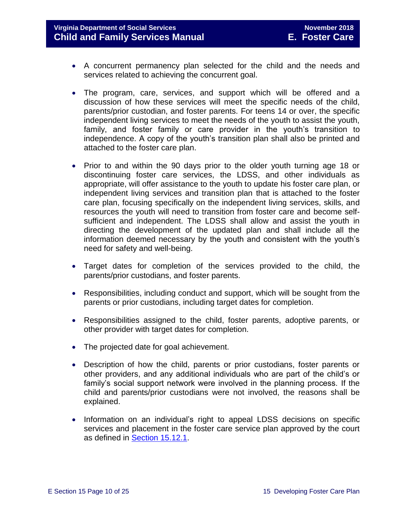# **Virginia Department of Social Services November 2018 Child and Family Services Manual E. Foster Care**

- A concurrent permanency plan selected for the child and the needs and services related to achieving the concurrent goal.
- The program, care, services, and support which will be offered and a discussion of how these services will meet the specific needs of the child, parents/prior custodian, and foster parents. For teens 14 or over, the specific independent living services to meet the needs of the youth to assist the youth, family, and foster family or care provider in the youth's transition to independence. A copy of the youth's transition plan shall also be printed and attached to the foster care plan.
- Prior to and within the 90 days prior to the older youth turning age 18 or discontinuing foster care services, the LDSS, and other individuals as appropriate, will offer assistance to the youth to update his foster care plan, or independent living services and transition plan that is attached to the foster care plan, focusing specifically on the independent living services, skills, and resources the youth will need to transition from foster care and become selfsufficient and independent. The LDSS shall allow and assist the youth in directing the development of the updated plan and shall include all the information deemed necessary by the youth and consistent with the youth's need for safety and well-being.
- Target dates for completion of the services provided to the child, the parents/prior custodians, and foster parents.
- Responsibilities, including conduct and support, which will be sought from the parents or prior custodians, including target dates for completion.
- Responsibilities assigned to the child, foster parents, adoptive parents, or other provider with target dates for completion.
- The projected date for goal achievement.
- Description of how the child, parents or prior custodians, foster parents or other providers, and any additional individuals who are part of the child's or family's social support network were involved in the planning process. If the child and parents/prior custodians were not involved, the reasons shall be explained.
- Information on an individual's right to appeal LDSS decisions on specific services and placement in the foster care service plan approved by the court as defined in [Section 15.12.1.](#page-16-2)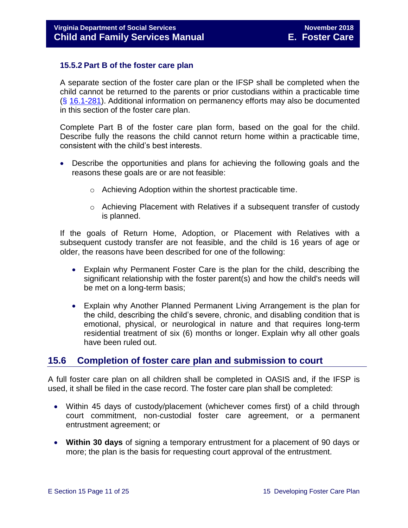#### <span id="page-10-0"></span>**15.5.2 Part B of the foster care plan**

A separate section of the foster care plan or the IFSP shall be completed when the child cannot be returned to the parents or prior custodians within a practicable time (§ [16.1-281\)](http://law.lis.virginia.gov/vacode/16.1-281/). Additional information on permanency efforts may also be documented in this section of the foster care plan.

Complete Part B of the foster care plan form, based on the goal for the child. Describe fully the reasons the child cannot return home within a practicable time, consistent with the child's best interests.

- Describe the opportunities and plans for achieving the following goals and the reasons these goals are or are not feasible:
	- o Achieving Adoption within the shortest practicable time.
	- o Achieving Placement with Relatives if a subsequent transfer of custody is planned.

If the goals of Return Home, Adoption, or Placement with Relatives with a subsequent custody transfer are not feasible, and the child is 16 years of age or older, the reasons have been described for one of the following:

- Explain why Permanent Foster Care is the plan for the child, describing the significant relationship with the foster parent(s) and how the child's needs will be met on a long-term basis;
- Explain why Another Planned Permanent Living Arrangement is the plan for the child, describing the child's severe, chronic, and disabling condition that is emotional, physical, or neurological in nature and that requires long-term residential treatment of six (6) months or longer. Explain why all other goals have been ruled out.

# <span id="page-10-1"></span>**15.6 Completion of foster care plan and submission to court**

A full foster care plan on all children shall be completed in OASIS and, if the IFSP is used, it shall be filed in the case record. The foster care plan shall be completed:

- Within 45 days of custody/placement (whichever comes first) of a child through court commitment, non-custodial foster care agreement, or a permanent entrustment agreement; or
- **Within 30 days** of signing a temporary entrustment for a placement of 90 days or more; the plan is the basis for requesting court approval of the entrustment.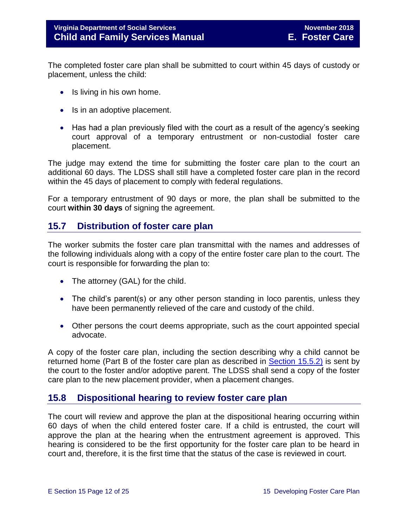The completed foster care plan shall be submitted to court within 45 days of custody or placement, unless the child:

- Is living in his own home.
- Is in an adoptive placement.
- Has had a plan previously filed with the court as a result of the agency's seeking court approval of a temporary entrustment or non-custodial foster care placement.

The judge may extend the time for submitting the foster care plan to the court an additional 60 days. The LDSS shall still have a completed foster care plan in the record within the 45 days of placement to comply with federal regulations.

For a temporary entrustment of 90 days or more, the plan shall be submitted to the court **within 30 days** of signing the agreement.

# <span id="page-11-0"></span>**15.7 Distribution of foster care plan**

The worker submits the foster care plan transmittal with the names and addresses of the following individuals along with a copy of the entire foster care plan to the court. The court is responsible for forwarding the plan to:

- The attorney (GAL) for the child.
- The child's parent(s) or any other person standing in loco parentis, unless they have been permanently relieved of the care and custody of the child.
- Other persons the court deems appropriate, such as the court appointed special advocate.

A copy of the foster care plan, including the section describing why a child cannot be returned home (Part B of the foster care plan as described in [Section 15.5.2\)](#page-10-0) is sent by the court to the foster and/or adoptive parent. The LDSS shall send a copy of the foster care plan to the new placement provider, when a placement changes.

# <span id="page-11-1"></span>**15.8 Dispositional hearing to review foster care plan**

The court will review and approve the plan at the dispositional hearing occurring within 60 days of when the child entered foster care. If a child is entrusted, the court will approve the plan at the hearing when the entrustment agreement is approved. This hearing is considered to be the first opportunity for the foster care plan to be heard in court and, therefore, it is the first time that the status of the case is reviewed in court.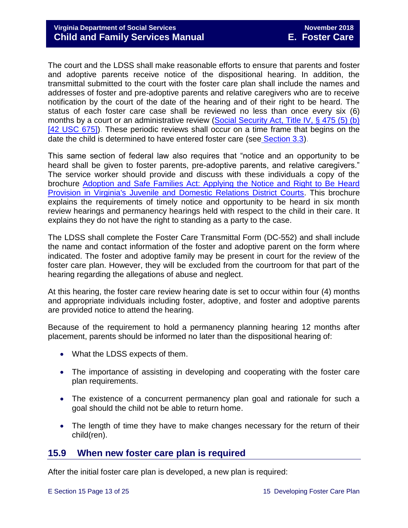The court and the LDSS shall make reasonable efforts to ensure that parents and foster and adoptive parents receive notice of the dispositional hearing. In addition, the transmittal submitted to the court with the foster care plan shall include the names and addresses of foster and pre-adoptive parents and relative caregivers who are to receive notification by the court of the date of the hearing and of their right to be heard. The status of each foster care case shall be reviewed no less than once every six (6) months by a court or an administrative review (Social Security Act, Title IV, § 475 (5) (b) [\[42 USC 675\]\)](http://www.socialsecurity.gov/OP_Home/ssact/title04/0475.htm). These periodic reviews shall occur on a time frame that begins on the date the child is determined to have entered foster care (see [Section 3.3\)](file://///Vaultcelerra.co.dss.state.va.us/Workgroup/Family_Services/DFS%20Child%20and%20Family%20Services%20Manual/E.%20Foster%20Care/Foster%20Care%20June%202017/section_3_entering_foster_care%20draft.2.docx).

This same section of federal law also requires that "notice and an opportunity to be heard shall be given to foster parents, pre-adoptive parents, and relative caregivers." The service worker should provide and discuss with these individuals a copy of the brochure [Adoption and Safe Families Act: Applying the Notice and Right to Be Heard](http://www.courts.state.va.us/courtadmin/aoc/cip/resources/asfa_brochure_web.pdf)  [Provision in Virginia's Juvenile and Domestic Relations District Courts.](http://www.courts.state.va.us/courtadmin/aoc/cip/resources/asfa_brochure_web.pdf) This brochure explains the requirements of timely notice and opportunity to be heard in six month review hearings and permanency hearings held with respect to the child in their care. It explains they do not have the right to standing as a party to the case.

The LDSS shall complete the Foster Care Transmittal Form (DC-552) and shall include the name and contact information of the foster and adoptive parent on the form where indicated. The foster and adoptive family may be present in court for the review of the foster care plan. However, they will be excluded from the courtroom for that part of the hearing regarding the allegations of abuse and neglect.

At this hearing, the foster care review hearing date is set to occur within four (4) months and appropriate individuals including foster, adoptive, and foster and adoptive parents are provided notice to attend the hearing.

Because of the requirement to hold a permanency planning hearing 12 months after placement, parents should be informed no later than the dispositional hearing of:

- What the LDSS expects of them.
- The importance of assisting in developing and cooperating with the foster care plan requirements.
- The existence of a concurrent permanency plan goal and rationale for such a goal should the child not be able to return home.
- The length of time they have to make changes necessary for the return of their child(ren).

# <span id="page-12-0"></span>**15.9 When new foster care plan is required**

After the initial foster care plan is developed, a new plan is required: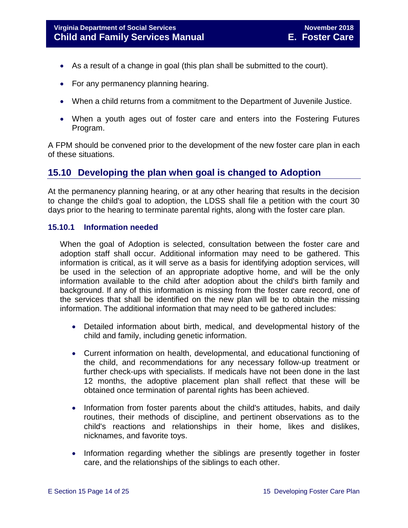- As a result of a change in goal (this plan shall be submitted to the court).
- For any permanency planning hearing.
- When a child returns from a commitment to the Department of Juvenile Justice.
- When a youth ages out of foster care and enters into the Fostering Futures Program.

A FPM should be convened prior to the development of the new foster care plan in each of these situations.

# <span id="page-13-0"></span>**15.10 Developing the plan when goal is changed to Adoption**

At the permanency planning hearing, or at any other hearing that results in the decision to change the child's goal to adoption, the LDSS shall file a petition with the court 30 days prior to the hearing to terminate parental rights, along with the foster care plan.

#### <span id="page-13-1"></span>**15.10.1 Information needed**

When the goal of Adoption is selected, consultation between the foster care and adoption staff shall occur. Additional information may need to be gathered. This information is critical, as it will serve as a basis for identifying adoption services, will be used in the selection of an appropriate adoptive home, and will be the only information available to the child after adoption about the child's birth family and background. If any of this information is missing from the foster care record, one of the services that shall be identified on the new plan will be to obtain the missing information. The additional information that may need to be gathered includes:

- Detailed information about birth, medical, and developmental history of the child and family, including genetic information.
- Current information on health, developmental, and educational functioning of the child, and recommendations for any necessary follow-up treatment or further check-ups with specialists. If medicals have not been done in the last 12 months, the adoptive placement plan shall reflect that these will be obtained once termination of parental rights has been achieved.
- Information from foster parents about the child's attitudes, habits, and daily routines, their methods of discipline, and pertinent observations as to the child's reactions and relationships in their home, likes and dislikes, nicknames, and favorite toys.
- Information regarding whether the siblings are presently together in foster care, and the relationships of the siblings to each other.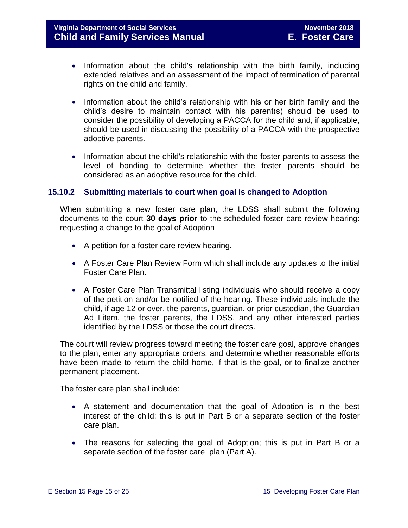- Information about the child's relationship with the birth family, including extended relatives and an assessment of the impact of termination of parental rights on the child and family.
- Information about the child's relationship with his or her birth family and the child's desire to maintain contact with his parent(s) should be used to consider the possibility of developing a PACCA for the child and, if applicable, should be used in discussing the possibility of a PACCA with the prospective adoptive parents.
- Information about the child's relationship with the foster parents to assess the level of bonding to determine whether the foster parents should be considered as an adoptive resource for the child.

#### <span id="page-14-0"></span>**15.10.2 Submitting materials to court when goal is changed to Adoption**

When submitting a new foster care plan, the LDSS shall submit the following documents to the court **30 days prior** to the scheduled foster care review hearing: requesting a change to the goal of Adoption

- A petition for a foster care review hearing.
- A Foster Care Plan Review Form which shall include any updates to the initial Foster Care Plan.
- A Foster Care Plan Transmittal listing individuals who should receive a copy of the petition and/or be notified of the hearing. These individuals include the child, if age 12 or over, the parents, guardian, or prior custodian, the Guardian Ad Litem, the foster parents, the LDSS, and any other interested parties identified by the LDSS or those the court directs.

The court will review progress toward meeting the foster care goal, approve changes to the plan, enter any appropriate orders, and determine whether reasonable efforts have been made to return the child home, if that is the goal, or to finalize another permanent placement.

The foster care plan shall include:

- A statement and documentation that the goal of Adoption is in the best interest of the child; this is put in Part B or a separate section of the foster care plan.
- The reasons for selecting the goal of Adoption; this is put in Part B or a separate section of the foster care plan (Part A).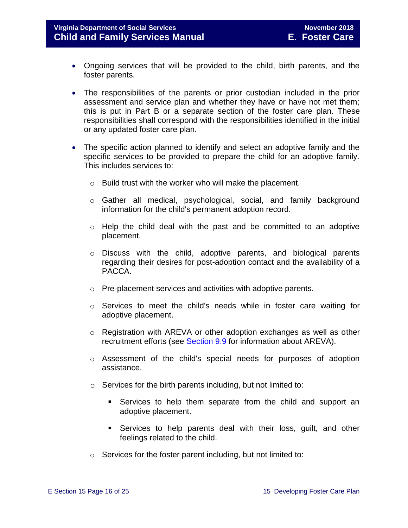# **Virginia Department of Social Services November 2018 Child and Family Services Manual E. Foster Care**

- Ongoing services that will be provided to the child, birth parents, and the foster parents.
- The responsibilities of the parents or prior custodian included in the prior assessment and service plan and whether they have or have not met them; this is put in Part B or a separate section of the foster care plan. These responsibilities shall correspond with the responsibilities identified in the initial or any updated foster care plan.
- The specific action planned to identify and select an adoptive family and the specific services to be provided to prepare the child for an adoptive family. This includes services to:
	- o Build trust with the worker who will make the placement.
	- o Gather all medical, psychological, social, and family background information for the child's permanent adoption record.
	- $\circ$  Help the child deal with the past and be committed to an adoptive placement.
	- o Discuss with the child, adoptive parents, and biological parents regarding their desires for post-adoption contact and the availability of a PACCA.
	- o Pre-placement services and activities with adoptive parents.
	- o Services to meet the child's needs while in foster care waiting for adoptive placement.
	- $\circ$  Registration with AREVA or other adoption exchanges as well as other recruitment efforts (see [Section 9.9](file://///Vaultcelerra.co.dss.state.va.us/Workgroup/Family_Services/DFS%20Child%20and%20Family%20Services%20Manual/E.%20Foster%20Care/Foster%20Care%20June%202017/section_9_achieving_permanency_goal_adoption%20draft.docx) for information about AREVA).
	- o Assessment of the child's special needs for purposes of adoption assistance.
	- o Services for the birth parents including, but not limited to:
		- Services to help them separate from the child and support an adoptive placement.
		- Services to help parents deal with their loss, guilt, and other feelings related to the child.
	- o Services for the foster parent including, but not limited to: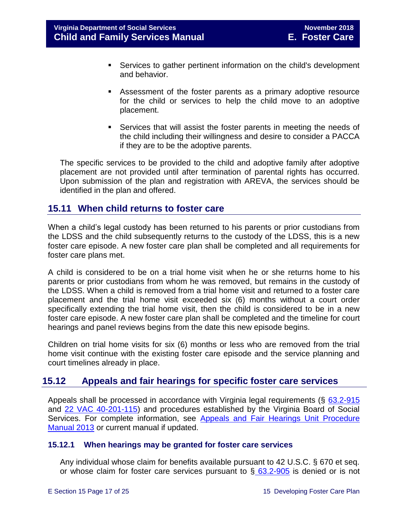- Services to gather pertinent information on the child's development and behavior.
- Assessment of the foster parents as a primary adoptive resource for the child or services to help the child move to an adoptive placement.
- Services that will assist the foster parents in meeting the needs of the child including their willingness and desire to consider a PACCA if they are to be the adoptive parents.

The specific services to be provided to the child and adoptive family after adoptive placement are not provided until after termination of parental rights has occurred. Upon submission of the plan and registration with AREVA, the services should be identified in the plan and offered.

# <span id="page-16-0"></span>**15.11 When child returns to foster care**

When a child's legal custody has been returned to his parents or prior custodians from the LDSS and the child subsequently returns to the custody of the LDSS, this is a new foster care episode. A new foster care plan shall be completed and all requirements for foster care plans met.

A child is considered to be on a trial home visit when he or she returns home to his parents or prior custodians from whom he was removed, but remains in the custody of the LDSS. When a child is removed from a trial home visit and returned to a foster care placement and the trial home visit exceeded six (6) months without a court order specifically extending the trial home visit, then the child is considered to be in a new foster care episode. A new foster care plan shall be completed and the timeline for court hearings and panel reviews begins from the date this new episode begins.

Children on trial home visits for six (6) months or less who are removed from the trial home visit continue with the existing foster care episode and the service planning and court timelines already in place.

# <span id="page-16-3"></span><span id="page-16-1"></span>**15.12 Appeals and fair hearings for specific foster care services**

Appeals shall be processed in accordance with Virginia legal requirements (§ [63.2-915](http://law.lis.virginia.gov/vacode/63.2-915/) and [22 VAC 40-201-115\)](http://law.lis.virginia.gov/admincode/title22/agency40/chapter201/section115) and procedures established by the Virginia Board of Social Services. For complete information, see [Appeals and Fair Hearings Unit Procedure](http://spark.dss.virginia.gov/divisions/appeals/files/division_intro_page/guidance_common/AFH_Procedure_Manual.pdf)  [Manual 2013](http://spark.dss.virginia.gov/divisions/appeals/files/division_intro_page/guidance_common/AFH_Procedure_Manual.pdf) or current manual if updated.

#### <span id="page-16-2"></span>**15.12.1 When hearings may be granted for foster care services**

Any individual whose claim for benefits available pursuant to 42 U.S.C. § 670 et seq. or whose claim for foster care services pursuant to  $\S$  [63.2-905](http://law.lis.virginia.gov/vacode/63.2-905/) is denied or is not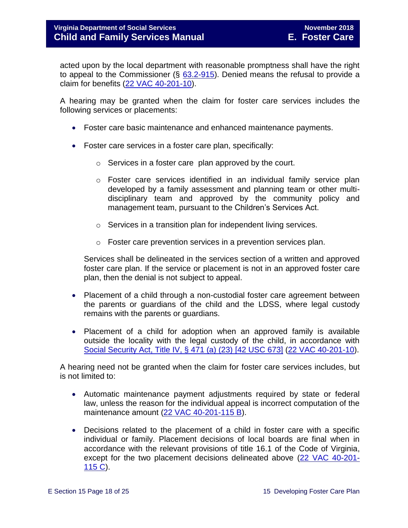acted upon by the local department with reasonable promptness shall have the right to appeal to the Commissioner  $(\S$  [63.2-915\)](http://law.lis.virginia.gov/vacode/63.2-905/). Denied means the refusal to provide a claim for benefits [\(22 VAC 40-201-10\)](http://law.lis.virginia.gov/admincode/title22/agency40/chapter201/section10).

A hearing may be granted when the claim for foster care services includes the following services or placements:

- Foster care basic maintenance and enhanced maintenance payments.
- Foster care services in a foster care plan, specifically:
	- $\circ$  Services in a foster care plan approved by the court.
	- o Foster care services identified in an individual family service plan developed by a family assessment and planning team or other multidisciplinary team and approved by the community policy and management team, pursuant to the Children's Services Act.
	- o Services in a transition plan for independent living services.
	- o Foster care prevention services in a prevention services plan.

Services shall be delineated in the services section of a written and approved foster care plan. If the service or placement is not in an approved foster care plan, then the denial is not subject to appeal.

- Placement of a child through a non-custodial foster care agreement between the parents or guardians of the child and the LDSS, where legal custody remains with the parents or guardians.
- Placement of a child for adoption when an approved family is available outside the locality with the legal custody of the child, in accordance with [Social Security Act, Title IV, § 471 \(a\) \(23\) \[42 USC 673\]](http://www.ssa.gov/OP_Home/ssact/title04/0471.htm) [\(22 VAC 40-201-10\)](http://law.lis.virginia.gov/admincode/title22/agency40/chapter201/section10).

A hearing need not be granted when the claim for foster care services includes, but is not limited to:

- Automatic maintenance payment adjustments required by state or federal law, unless the reason for the individual appeal is incorrect computation of the maintenance amount [\(22 VAC 40-201-115 B\)](http://law.lis.virginia.gov/admincode/title22/agency40/chapter201/section115).
- Decisions related to the placement of a child in foster care with a specific individual or family. Placement decisions of local boards are final when in accordance with the relevant provisions of title 16.1 of the Code of Virginia, except for the two placement decisions delineated above [\(22 VAC 40-201-](http://law.lis.virginia.gov/admincode/title22/agency40/chapter201/section115) [115 C\)](http://law.lis.virginia.gov/admincode/title22/agency40/chapter201/section115).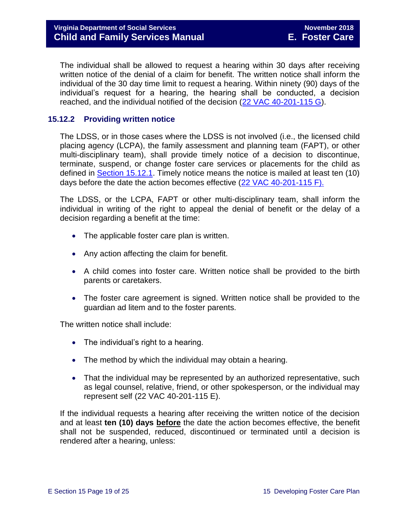The individual shall be allowed to request a hearing within 30 days after receiving written notice of the denial of a claim for benefit. The written notice shall inform the individual of the 30 day time limit to request a hearing. Within ninety (90) days of the individual's request for a hearing, the hearing shall be conducted, a decision reached, and the individual notified of the decision [\(22 VAC 40-201-115 G\)](http://law.lis.virginia.gov/admincode/title22/agency40/chapter201/section115).

# <span id="page-18-0"></span>**15.12.2 Providing written notice**

The LDSS, or in those cases where the LDSS is not involved (i.e., the licensed child placing agency (LCPA), the family assessment and planning team (FAPT), or other multi-disciplinary team), shall provide timely notice of a decision to discontinue, terminate, suspend, or change foster care services or placements for the child as defined in [Section 15.12.1.](#page-16-2) Timely notice means the notice is mailed at least ten (10) days before the date the action becomes effective [\(22 VAC 40-201-115 F\).](http://law.lis.virginia.gov/admincode/title22/agency40/chapter201/section115)

The LDSS, or the LCPA, FAPT or other multi-disciplinary team, shall inform the individual in writing of the right to appeal the denial of benefit or the delay of a decision regarding a benefit at the time:

- The applicable foster care plan is written.
- Any action affecting the claim for benefit.
- A child comes into foster care. Written notice shall be provided to the birth parents or caretakers.
- The foster care agreement is signed. Written notice shall be provided to the guardian ad litem and to the foster parents.

The written notice shall include:

- The individual's right to a hearing.
- The method by which the individual may obtain a hearing.
- That the individual may be represented by an authorized representative, such as legal counsel, relative, friend, or other spokesperson, or the individual may represent self (22 VAC 40-201-115 E).

If the individual requests a hearing after receiving the written notice of the decision and at least **ten (10) days before** the date the action becomes effective, the benefit shall not be suspended, reduced, discontinued or terminated until a decision is rendered after a hearing, unless: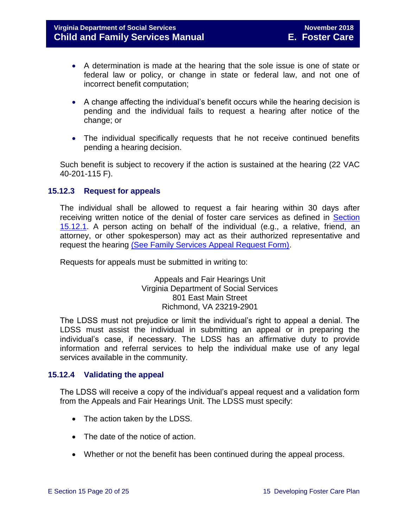- A determination is made at the hearing that the sole issue is one of state or federal law or policy, or change in state or federal law, and not one of incorrect benefit computation;
- A change affecting the individual's benefit occurs while the hearing decision is pending and the individual fails to request a hearing after notice of the change; or
- The individual specifically requests that he not receive continued benefits pending a hearing decision.

Such benefit is subject to recovery if the action is sustained at the hearing (22 VAC 40-201-115 F).

# <span id="page-19-0"></span>**15.12.3 Request for appeals**

The individual shall be allowed to request a fair hearing within 30 days after receiving written notice of the denial of foster care services as defined in [Section](#page-16-2)  [15.12.1.](#page-16-2) A person acting on behalf of the individual (e.g., a relative, friend, an attorney, or other spokesperson) may act as their authorized representative and request the hearing [\(See Family Services Appeal Request Form\).](http://www.dss.virginia.gov/files/division/dfs/fc/intro_page/forms/032-02-0671-00-eng.pdf)

Requests for appeals must be submitted in writing to:

Appeals and Fair Hearings Unit Virginia Department of Social Services 801 East Main Street Richmond, VA 23219-2901

The LDSS must not prejudice or limit the individual's right to appeal a denial. The LDSS must assist the individual in submitting an appeal or in preparing the individual's case, if necessary. The LDSS has an affirmative duty to provide information and referral services to help the individual make use of any legal services available in the community.

#### <span id="page-19-1"></span>**15.12.4 Validating the appeal**

The LDSS will receive a copy of the individual's appeal request and a validation form from the Appeals and Fair Hearings Unit. The LDSS must specify:

- The action taken by the LDSS.
- The date of the notice of action.
- Whether or not the benefit has been continued during the appeal process.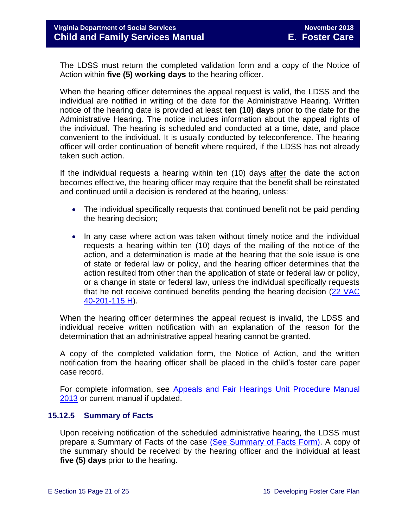The LDSS must return the completed validation form and a copy of the Notice of Action within **five (5) working days** to the hearing officer.

When the hearing officer determines the appeal request is valid, the LDSS and the individual are notified in writing of the date for the Administrative Hearing. Written notice of the hearing date is provided at least **ten (10) days** prior to the date for the Administrative Hearing. The notice includes information about the appeal rights of the individual. The hearing is scheduled and conducted at a time, date, and place convenient to the individual. It is usually conducted by teleconference. The hearing officer will order continuation of benefit where required, if the LDSS has not already taken such action.

If the individual requests a hearing within ten (10) days after the date the action becomes effective, the hearing officer may require that the benefit shall be reinstated and continued until a decision is rendered at the hearing, unless:

- The individual specifically requests that continued benefit not be paid pending the hearing decision;
- In any case where action was taken without timely notice and the individual requests a hearing within ten (10) days of the mailing of the notice of the action, and a determination is made at the hearing that the sole issue is one of state or federal law or policy, and the hearing officer determines that the action resulted from other than the application of state or federal law or policy, or a change in state or federal law, unless the individual specifically requests that he not receive continued benefits pending the hearing decision (22 VAC [40-201-115 H\)](http://law.lis.virginia.gov/admincode/title22/agency40/chapter201/section115).

When the hearing officer determines the appeal request is invalid, the LDSS and individual receive written notification with an explanation of the reason for the determination that an administrative appeal hearing cannot be granted.

A copy of the completed validation form, the Notice of Action, and the written notification from the hearing officer shall be placed in the child's foster care paper case record.

For complete information, see [Appeals and Fair Hearings Unit Procedure Manual](http://spark.dss.virginia.gov/divisions/appeals/files/division_intro_page/guidance_common/AFH_Procedure_Manual.pdf)  [2013](http://spark.dss.virginia.gov/divisions/appeals/files/division_intro_page/guidance_common/AFH_Procedure_Manual.pdf) or current manual if updated.

#### <span id="page-20-0"></span>**15.12.5 Summary of Facts**

Upon receiving notification of the scheduled administrative hearing, the LDSS must prepare a Summary of Facts of the case [\(See Summary of Facts Form\).](http://www.dss.virginia.gov/files/division/dfs/fc/intro_page/forms/032-02-0670-00-eng.pdf) A copy of the summary should be received by the hearing officer and the individual at least **five (5) days** prior to the hearing.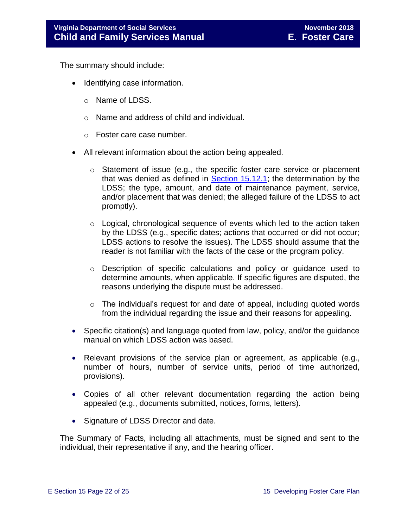The summary should include:

- Identifying case information.
	- o Name of LDSS.
	- o Name and address of child and individual.
	- o Foster care case number.
- All relevant information about the action being appealed.
	- o Statement of issue (e.g., the specific foster care service or placement that was denied as defined in [Section 15.12.1;](#page-16-2) the determination by the LDSS; the type, amount, and date of maintenance payment, service, and/or placement that was denied; the alleged failure of the LDSS to act promptly).
	- o Logical, chronological sequence of events which led to the action taken by the LDSS (e.g., specific dates; actions that occurred or did not occur; LDSS actions to resolve the issues). The LDSS should assume that the reader is not familiar with the facts of the case or the program policy.
	- o Description of specific calculations and policy or guidance used to determine amounts, when applicable. If specific figures are disputed, the reasons underlying the dispute must be addressed.
	- $\circ$  The individual's request for and date of appeal, including quoted words from the individual regarding the issue and their reasons for appealing.
- Specific citation(s) and language quoted from law, policy, and/or the guidance manual on which LDSS action was based.
- Relevant provisions of the service plan or agreement, as applicable (e.g., number of hours, number of service units, period of time authorized, provisions).
- Copies of all other relevant documentation regarding the action being appealed (e.g., documents submitted, notices, forms, letters).
- Signature of LDSS Director and date.

The Summary of Facts, including all attachments, must be signed and sent to the individual, their representative if any, and the hearing officer.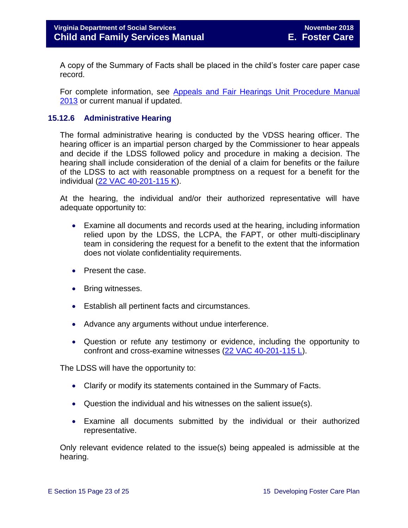A copy of the Summary of Facts shall be placed in the child's foster care paper case record.

For complete information, see [Appeals and Fair Hearings Unit Procedure Manual](http://spark.dss.virginia.gov/divisions/appeals/files/division_intro_page/guidance_common/AFH_Procedure_Manual.pdf)  [2013](http://spark.dss.virginia.gov/divisions/appeals/files/division_intro_page/guidance_common/AFH_Procedure_Manual.pdf) or current manual if updated.

#### <span id="page-22-0"></span>**15.12.6 Administrative Hearing**

The formal administrative hearing is conducted by the VDSS hearing officer. The hearing officer is an impartial person charged by the Commissioner to hear appeals and decide if the LDSS followed policy and procedure in making a decision. The hearing shall include consideration of the denial of a claim for benefits or the failure of the LDSS to act with reasonable promptness on a request for a benefit for the individual [\(22 VAC 40-201-115 K\)](http://law.lis.virginia.gov/admincode/title22/agency40/chapter201/section115).

At the hearing, the individual and/or their authorized representative will have adequate opportunity to:

- Examine all documents and records used at the hearing, including information relied upon by the LDSS, the LCPA, the FAPT, or other multi-disciplinary team in considering the request for a benefit to the extent that the information does not violate confidentiality requirements.
- Present the case.
- Bring witnesses.
- Establish all pertinent facts and circumstances.
- Advance any arguments without undue interference.
- Question or refute any testimony or evidence, including the opportunity to confront and cross-examine witnesses [\(22 VAC 40-201-115 L\)](http://law.lis.virginia.gov/admincode/title22/agency40/chapter201/section115).

The LDSS will have the opportunity to:

- Clarify or modify its statements contained in the Summary of Facts.
- Question the individual and his witnesses on the salient issue(s).
- Examine all documents submitted by the individual or their authorized representative.

Only relevant evidence related to the issue(s) being appealed is admissible at the hearing.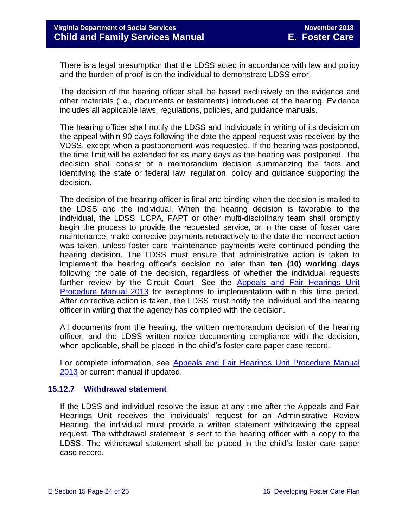There is a legal presumption that the LDSS acted in accordance with law and policy and the burden of proof is on the individual to demonstrate LDSS error.

The decision of the hearing officer shall be based exclusively on the evidence and other materials (i.e., documents or testaments) introduced at the hearing. Evidence includes all applicable laws, regulations, policies, and guidance manuals.

The hearing officer shall notify the LDSS and individuals in writing of its decision on the appeal within 90 days following the date the appeal request was received by the VDSS, except when a postponement was requested. If the hearing was postponed, the time limit will be extended for as many days as the hearing was postponed. The decision shall consist of a memorandum decision summarizing the facts and identifying the state or federal law, regulation, policy and guidance supporting the decision.

The decision of the hearing officer is final and binding when the decision is mailed to the LDSS and the individual. When the hearing decision is favorable to the individual, the LDSS, LCPA, FAPT or other multi-disciplinary team shall promptly begin the process to provide the requested service, or in the case of foster care maintenance, make corrective payments retroactively to the date the incorrect action was taken, unless foster care maintenance payments were continued pending the hearing decision. The LDSS must ensure that administrative action is taken to implement the hearing officer's decision no later than **ten (10) working days** following the date of the decision, regardless of whether the individual requests further review by the Circuit Court. See the Appeals and Fair Hearings Unit [Procedure Manual 2013](http://spark.dss.virginia.gov/divisions/appeals/files/division_intro_page/guidance_common/AFH_Procedure_Manual.pdf) for exceptions to implementation within this time period. After corrective action is taken, the LDSS must notify the individual and the hearing officer in writing that the agency has complied with the decision.

All documents from the hearing, the written memorandum decision of the hearing officer, and the LDSS written notice documenting compliance with the decision, when applicable, shall be placed in the child's foster care paper case record.

For complete information, see Appeals and Fair Hearings Unit Procedure Manual [2013](http://spark.dss.virginia.gov/divisions/appeals/files/division_intro_page/guidance_common/AFH_Procedure_Manual.pdf) or current manual if updated.

#### <span id="page-23-0"></span>**15.12.7 Withdrawal statement**

If the LDSS and individual resolve the issue at any time after the Appeals and Fair Hearings Unit receives the individuals' request for an Administrative Review Hearing, the individual must provide a written statement withdrawing the appeal request. The withdrawal statement is sent to the hearing officer with a copy to the LDSS. The withdrawal statement shall be placed in the child's foster care paper case record.